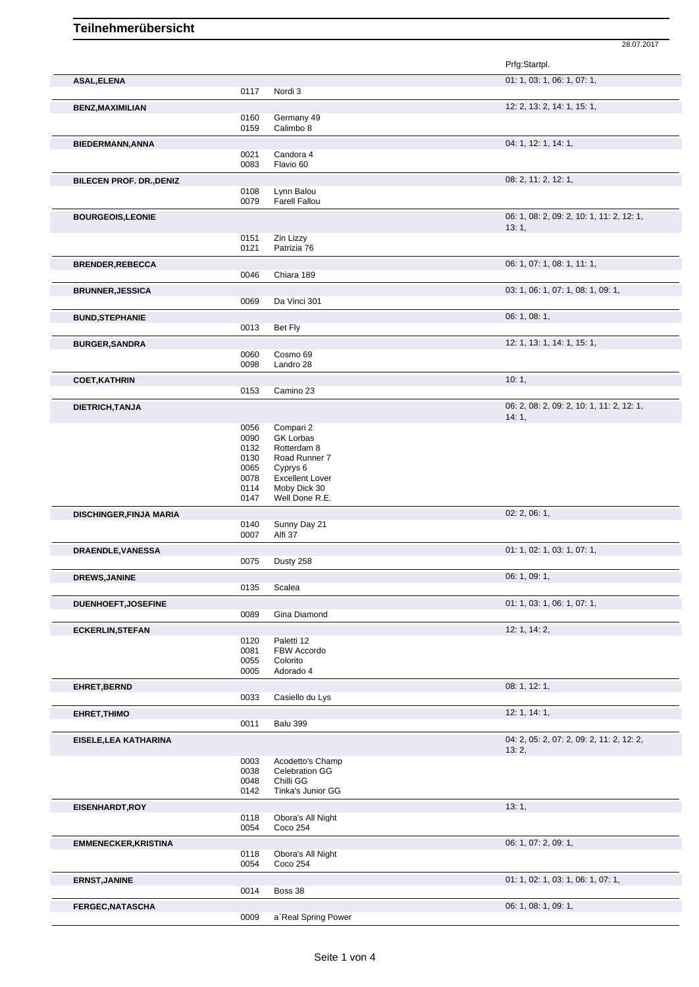28.07.2017

|                                 |              |                                        | Prfg:Startpl.                             |
|---------------------------------|--------------|----------------------------------------|-------------------------------------------|
| ASAL, ELENA                     |              |                                        | 01: 1, 03: 1, 06: 1, 07: 1,               |
|                                 | 0117         | Nordi 3                                |                                           |
| <b>BENZ, MAXIMILIAN</b>         |              |                                        | 12: 2, 13: 2, 14: 1, 15: 1,               |
|                                 | 0160         | Germany 49                             |                                           |
|                                 | 0159         | Calimbo 8                              |                                           |
| <b>BIEDERMANN, ANNA</b>         |              |                                        | 04: 1, 12: 1, 14: 1,                      |
|                                 | 0021         | Candora 4                              |                                           |
|                                 | 0083         | Flavio 60                              |                                           |
| <b>BILECEN PROF. DR., DENIZ</b> |              |                                        | 08: 2, 11: 2, 12: 1,                      |
|                                 | 0108         | Lynn Balou                             |                                           |
|                                 | 0079         | <b>Farell Fallou</b>                   |                                           |
| <b>BOURGEOIS, LEONIE</b>        |              |                                        | 06: 1, 08: 2, 09: 2, 10: 1, 11: 2, 12: 1, |
|                                 |              |                                        | 13:1,                                     |
|                                 | 0151         | Zin Lizzy                              |                                           |
|                                 | 0121         | Patrizia 76                            |                                           |
| <b>BRENDER, REBECCA</b>         |              |                                        | 06: 1, 07: 1, 08: 1, 11: 1,               |
|                                 | 0046         | Chiara 189                             |                                           |
| <b>BRUNNER, JESSICA</b>         |              |                                        | 03: 1, 06: 1, 07: 1, 08: 1, 09: 1,        |
|                                 | 0069         | Da Vinci 301                           |                                           |
| <b>BUND, STEPHANIE</b>          |              |                                        | 06: 1, 08: 1,                             |
|                                 | 0013         | Bet Fly                                |                                           |
| <b>BURGER, SANDRA</b>           |              |                                        | 12: 1, 13: 1, 14: 1, 15: 1,               |
|                                 | 0060         | Cosmo 69                               |                                           |
|                                 | 0098         | Landro 28                              |                                           |
| <b>COET, KATHRIN</b>            |              |                                        | 10:1,                                     |
|                                 | 0153         | Camino 23                              |                                           |
|                                 |              |                                        | 06: 2, 08: 2, 09: 2, 10: 1, 11: 2, 12: 1, |
| DIETRICH, TANJA                 |              |                                        | 14:1,                                     |
|                                 | 0056         | Compari 2                              |                                           |
|                                 | 0090         | <b>GK Lorbas</b>                       |                                           |
|                                 | 0132         | Rotterdam 8                            |                                           |
|                                 | 0130         | Road Runner 7                          |                                           |
|                                 | 0065         | Cyprys 6                               |                                           |
|                                 | 0078<br>0114 | <b>Excellent Lover</b><br>Moby Dick 30 |                                           |
|                                 | 0147         | Well Done R.E.                         |                                           |
|                                 |              |                                        | 02: 2, 06: 1,                             |
| DISCHINGER, FINJA MARIA         | 0140         | Sunny Day 21                           |                                           |
|                                 | 0007         | Alfi 37                                |                                           |
|                                 |              |                                        | 01: 1, 02: 1, 03: 1, 07: 1,               |
| DRAENDLE, VANESSA               | 0075         | Dusty 258                              |                                           |
|                                 |              |                                        |                                           |
| <b>DREWS, JANINE</b>            | 0135         | Scalea                                 | 06: 1, 09: 1,                             |
|                                 |              |                                        |                                           |
| <b>DUENHOEFT, JOSEFINE</b>      |              |                                        | 01: 1, 03: 1, 06: 1, 07: 1,               |
|                                 | 0089         | Gina Diamond                           |                                           |
| <b>ECKERLIN, STEFAN</b>         |              |                                        | 12: 1, 14: 2,                             |
|                                 | 0120         | Paletti 12                             |                                           |
|                                 | 0081         | FBW Accordo                            |                                           |
|                                 | 0055<br>0005 | Colorito<br>Adorado 4                  |                                           |
|                                 |              |                                        |                                           |
| EHRET, BERND                    | 0033         | Casiello du Lys                        | 08: 1, 12: 1,                             |
|                                 |              |                                        |                                           |
| <b>EHRET, THIMO</b>             |              |                                        | 12: 1, 14: 1,                             |
|                                 | 0011         | Balu 399                               |                                           |
| EISELE, LEA KATHARINA           |              |                                        | 04: 2, 05: 2, 07: 2, 09: 2, 11: 2, 12: 2, |
|                                 |              |                                        | 13:2,                                     |
|                                 | 0003         | Acodetto's Champ                       |                                           |
|                                 | 0038<br>0048 | Celebration GG<br>Chilli GG            |                                           |
|                                 | 0142         | Tinka's Junior GG                      |                                           |
|                                 |              |                                        | 13:1,                                     |
| EISENHARDT, ROY                 | 0118         | Obora's All Night                      |                                           |
|                                 | 0054         | Coco 254                               |                                           |
|                                 |              |                                        |                                           |
| <b>EMMENECKER, KRISTINA</b>     |              |                                        | 06: 1, 07: 2, 09: 1,                      |
|                                 | 0118<br>0054 | Obora's All Night<br>Coco 254          |                                           |
|                                 |              |                                        |                                           |
| <b>ERNST, JANINE</b>            | 0014         | Boss 38                                | 01: 1, 02: 1, 03: 1, 06: 1, 07: 1,        |
|                                 |              |                                        |                                           |
| <b>FERGEC, NATASCHA</b>         |              |                                        | 06: 1, 08: 1, 09: 1,                      |
|                                 | 0009         | a' Real Spring Power                   |                                           |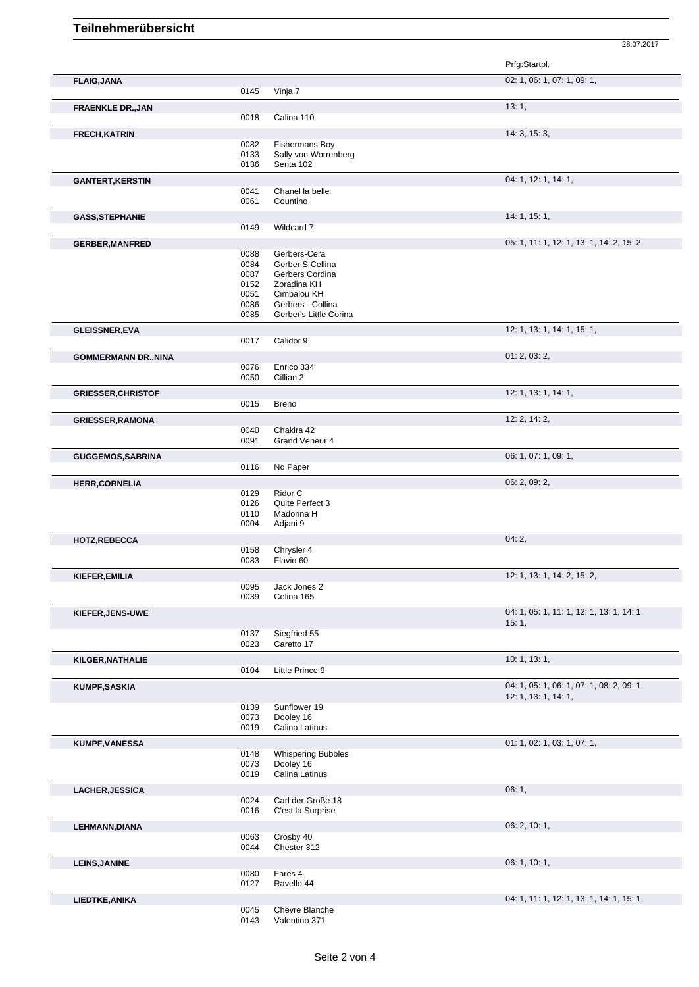Prfg:Startpl. **FLAIG,JANA** 02: 1, 06: 1, 07: 1, 09: 1, 0145 Vinja 7 **FRAENKLE DR.,JAN** 13: 1, 0018 Calina 110 **FRECH, KATRIN** 14: 3, 15: 3, 15: 3, 15: 3, 15: 3, 15: 3, 15: 3, 15: 3, 15: 3, 15: 3, 15: 3, 15: 3, 15: 3, 15: 3, 15: 3, 15: 3, 15: 3, 15: 3, 15: 3, 15: 3, 15: 3, 15: 3, 15: 3, 15: 3, 15: 3, 15: 3, 15: 3, 15: 3, 15: 3, 15: 0082 Fishermans Boy<br>0133 Sally von Worrer Sally von Worrenberg 0136 Senta 102 **GANTERT, KERSTIN** 04: 1, 12: 1, 14: 1, 0041 Chanel la belle<br>0061 Countino **Countino GASS,STEPHANIE** 14: 1, 15: 1, Wildcard 7 GERBER, MANFRED **GERBER, MANFRED** 0088 Gerbers-Cera **CERBER, MANFRED** 05: 1, 11: 1, 12: 1, 13: 1, 14: 2, 15: 2, 0088 Gerbers-Cera<br>0084 Gerber S Celli 0084 Gerber S Cellina<br>0087 Gerbers Cordina 0087 Gerbers Cordina<br>0152 Zoradina KH Zoradina KH 0051 Cimbalou KH<br>0086 Gerbers - Co 0086 Gerbers - Collina<br>0085 Gerber's Little Co Gerber's Little Corina **GLEISSNER,EVA** 12: 1, 13: 1, 14: 1, 15: 1, 0017 Calidor 9 **GOMMERMANN DR.,NINA** 01: 2, 03: 2, 0076 Enrico 334 0050 Cillian 2 **GRIESSER, CHRISTOF** 12: 1, 13: 1, 14: 1, 0015 Breno **GRIESSER,RAMONA** 12: 2, 14: 2, 0040 Chakira 42<br>0091 Grand Ven Grand Veneur 4 **GUGGEMOS,SABRINA** 06: 1, 07: 1, 09: 1, 07: 1, 09: 1, 07: 1, 09: 1, 09: 1, 09: 1, 09: 1, 09: 1, 09: 1, 09: 1, 09: 1, 09: 1, 09: 1, 09: 1, 09: 1, 09: 1, 09: 1, 09: 1, 09: 1, 09: 1, 09: 1, 09: 1, 09: 1, 09: 1, 09: 1, 09: 1, No Paper **HERR,CORNELIA** 06: 2, 09: 2, 0129 Ridor C<br>0126 Quite Pe 0126 Quite Perfect 3<br>0110 Madonna H 0110 Madonna H<br>0004 Adjani 9 Adjani 9 **HOTZ,REBECCA** 04: 2, 0158 Chrysler 4<br>0083 Flavio 60 Flavio 60 **KIEFER,EMILIA** 12: 1, 13: 1, 14: 2, 15: 2, 15: 2, 15: 2, 15: 2, 15: 2, 15: 2, 15: 2, 15: 2, 15: 2, 15: 2, 15: 2, 15: 2, 15: 2, 15: 2, 15: 2, 15: 2, 15: 2, 15: 2, 15: 2, 15: 2, 15: 2, 15: 2, 15: 2, 15: 2, 15: 2, 15: 2, 15: Jack Jones 2 0039 Celina 165 **KIEFER,JENS-UWE** 04: 1, 05: 1, 11: 1, 12: 1, 13: 1, 14: 1, 15: 1, 0137 Siegfried 55 0023 Caretto 17 **KILGER,NATHALIE** 10: 1, 13: 1, 0104 Little Prince 9 **KUMPF,SASKIA** 04: 1, 05: 1, 06: 1, 07: 1, 08: 2, 09: 1, 12: 1, 13: 1, 14: 1, 0139 Sunflower 19<br>0073 Dooley 16 0073 Dooley 16<br>0019 Calina Lati Calina Latinus **KUMPF, VANESSA** 01: 1, 02: 1, 03: 1, 07: 1, 0148 Whispering Bubbles<br>0073 Dooley 16 0073 Dooley 16<br>0019 Calina Lati Calina Latinus **LACHER,JESSICA** 06: 1, 0024 Carl der Große 18 0016 C'est la Surprise **LEHMANN,DIANA** 06: 2, 10: 1,<br>
06: 2, 10: 1,<br>
06: 2, 10: 1, Crosby 40 0044 Chester 312 **LEINS,JANINE** 06: 1, 10: 1, 0080 Fares 4 0127 Ravello 44

**LIEDTKE,ANIKA** 04: 1, 11: 1, 12: 1, 13: 1, 14: 1, 15: 1,

28.07.2017

0045 Chevre Blanche<br>0143 Valentino 371 Valentino 371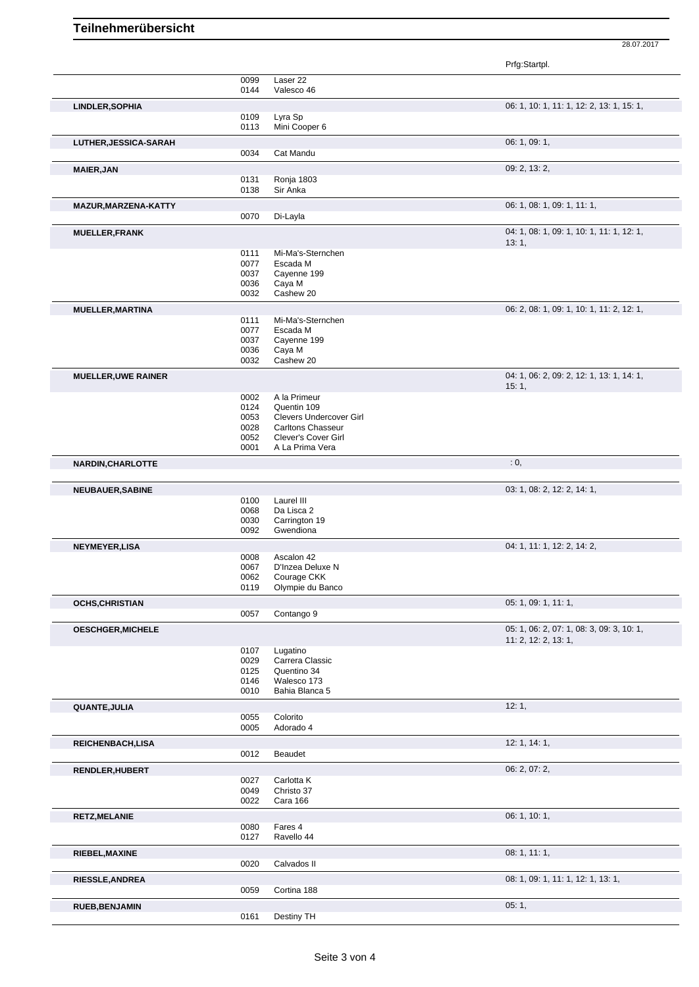28.07.2017

|                            |              |                                        | Prfg:Startpl.                                                     |
|----------------------------|--------------|----------------------------------------|-------------------------------------------------------------------|
|                            | 0099<br>0144 | Laser 22<br>Valesco 46                 |                                                                   |
| LINDLER, SOPHIA            |              |                                        | 06: 1, 10: 1, 11: 1, 12: 2, 13: 1, 15: 1,                         |
|                            | 0109         | Lyra Sp                                |                                                                   |
|                            | 0113         | Mini Cooper 6                          |                                                                   |
| LUTHER, JESSICA-SARAH      |              |                                        | 06: 1, 09: 1,                                                     |
|                            | 0034         | Cat Mandu                              |                                                                   |
| <b>MAIER, JAN</b>          |              |                                        | 09: 2, 13: 2,                                                     |
|                            | 0131         | Ronja 1803                             |                                                                   |
|                            | 0138         | Sir Anka                               |                                                                   |
| MAZUR, MARZENA-KATTY       |              |                                        | 06: 1, 08: 1, 09: 1, 11: 1,                                       |
|                            | 0070         | Di-Layla                               |                                                                   |
| <b>MUELLER, FRANK</b>      |              |                                        | 04: 1, 08: 1, 09: 1, 10: 1, 11: 1, 12: 1,<br>13:1,                |
|                            | 0111         | Mi-Ma's-Sternchen                      |                                                                   |
|                            | 0077         | Escada M                               |                                                                   |
|                            | 0037         | Cayenne 199                            |                                                                   |
|                            | 0036         | Caya M                                 |                                                                   |
|                            | 0032         | Cashew 20                              |                                                                   |
| <b>MUELLER, MARTINA</b>    |              |                                        | 06: 2, 08: 1, 09: 1, 10: 1, 11: 2, 12: 1,                         |
|                            | 0111         | Mi-Ma's-Sternchen                      |                                                                   |
|                            | 0077<br>0037 | Escada M<br>Cayenne 199                |                                                                   |
|                            | 0036         | Caya M                                 |                                                                   |
|                            | 0032         | Cashew 20                              |                                                                   |
|                            |              |                                        | 04: 1, 06: 2, 09: 2, 12: 1, 13: 1, 14: 1,                         |
| <b>MUELLER, UWE RAINER</b> |              |                                        | 15:1,                                                             |
|                            | 0002         | A la Primeur                           |                                                                   |
|                            | 0124         | Quentin 109                            |                                                                   |
|                            | 0053         | Clevers Undercover Girl                |                                                                   |
|                            | 0028         | <b>Carltons Chasseur</b>               |                                                                   |
|                            | 0052<br>0001 | Clever's Cover Girl<br>A La Prima Vera |                                                                   |
|                            |              |                                        |                                                                   |
| <b>NARDIN, CHARLOTTE</b>   |              |                                        | : 0,                                                              |
|                            |              |                                        |                                                                   |
| <b>NEUBAUER, SABINE</b>    | 0100         | Laurel III                             | 03: 1, 08: 2, 12: 2, 14: 1,                                       |
|                            | 0068         | Da Lisca 2                             |                                                                   |
|                            | 0030         | Carrington 19                          |                                                                   |
|                            | 0092         | Gwendiona                              |                                                                   |
| NEYMEYER, LISA             |              |                                        | 04: 1, 11: 1, 12: 2, 14: 2,                                       |
|                            | 0008         | Ascalon 42                             |                                                                   |
|                            | 0067         | D'Inzea Deluxe N                       |                                                                   |
|                            | 0062         | Courage CKK                            |                                                                   |
|                            | 0119         | Olympie du Banco                       |                                                                   |
| <b>OCHS, CHRISTIAN</b>     |              |                                        | 05: 1, 09: 1, 11: 1,                                              |
|                            | 0057         | Contango 9                             |                                                                   |
| OESCHGER, MICHELE          |              |                                        | 05: 1, 06: 2, 07: 1, 08: 3, 09: 3, 10: 1,<br>11: 2, 12: 2, 13: 1, |
|                            | 0107         | Lugatino                               |                                                                   |
|                            | 0029         | Carrera Classic                        |                                                                   |
|                            | 0125         | Quentino 34                            |                                                                   |
|                            | 0146         | Walesco 173                            |                                                                   |
|                            | 0010         | Bahia Blanca 5                         |                                                                   |
| QUANTE, JULIA              |              |                                        | 12:1,                                                             |
|                            | 0055         | Colorito                               |                                                                   |
|                            | 0005         | Adorado 4                              |                                                                   |
| REICHENBACH, LISA          |              |                                        | 12: 1, 14: 1,                                                     |
|                            | 0012         | Beaudet                                |                                                                   |
| <b>RENDLER, HUBERT</b>     |              |                                        | 06: 2, 07: 2,                                                     |
|                            | 0027         | Carlotta K                             |                                                                   |
|                            | 0049         | Christo 37                             |                                                                   |
|                            | 0022         | Cara 166                               |                                                                   |
| <b>RETZ, MELANIE</b>       |              |                                        | 06: 1, 10: 1,                                                     |
|                            | 0080         | Fares 4                                |                                                                   |
|                            | 0127         | Ravello 44                             |                                                                   |
| RIEBEL, MAXINE             |              |                                        | 08: 1, 11: 1,                                                     |
|                            | 0020         | Calvados II                            |                                                                   |
| <b>RIESSLE, ANDREA</b>     |              |                                        | 08: 1, 09: 1, 11: 1, 12: 1, 13: 1,                                |
|                            | 0059         | Cortina 188                            |                                                                   |
| <b>RUEB, BENJAMIN</b>      |              |                                        | 05:1,                                                             |
|                            | 0161         | Destiny TH                             |                                                                   |
|                            |              |                                        |                                                                   |